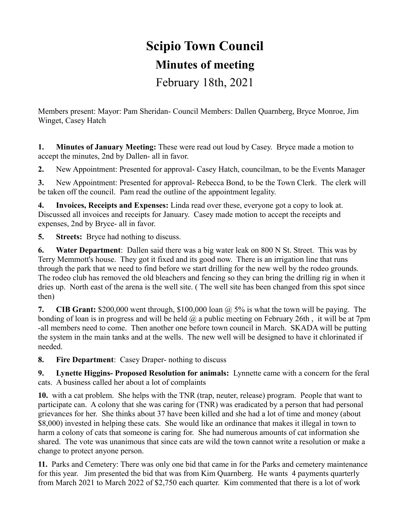## **Scipio Town Council Minutes of meeting**

February 18th, 2021

Members present: Mayor: Pam Sheridan- Council Members: Dallen Quarnberg, Bryce Monroe, Jim Winget, Casey Hatch

**1. Minutes of January Meeting:** These were read out loud by Casey. Bryce made a motion to accept the minutes, 2nd by Dallen- all in favor.

**2.** New Appointment: Presented for approval- Casey Hatch, councilman, to be the Events Manager

**3.** New Appointment: Presented for approval- Rebecca Bond, to be the Town Clerk. The clerk will be taken off the council. Pam read the outline of the appointment legality.

**4. Invoices, Receipts and Expenses:** Linda read over these, everyone got a copy to look at. Discussed all invoices and receipts for January. Casey made motion to accept the receipts and expenses, 2nd by Bryce- all in favor.

**5. Streets:** Bryce had nothing to discuss.

**6. Water Department**: Dallen said there was a big water leak on 800 N St. Street. This was by Terry Memmott's house. They got it fixed and its good now. There is an irrigation line that runs through the park that we need to find before we start drilling for the new well by the rodeo grounds. The rodeo club has removed the old bleachers and fencing so they can bring the drilling rig in when it dries up. North east of the arena is the well site. ( The well site has been changed from this spot since then)

**7. CIB Grant:** \$200,000 went through, \$100,000 loan @ 5% is what the town will be paying. The bonding of loan is in progress and will be held  $\omega$  a public meeting on February 26th, it will be at 7pm -all members need to come. Then another one before town council in March. SKADA will be putting the system in the main tanks and at the wells. The new well will be designed to have it chlorinated if needed.

**8. Fire Department**: Casey Draper- nothing to discuss

**9. Lynette Higgins- Proposed Resolution for animals:** Lynnette came with a concern for the feral cats. A business called her about a lot of complaints

**10.** with a cat problem. She helps with the TNR (trap, neuter, release) program. People that want to participate can. A colony that she was caring for (TNR) was eradicated by a person that had personal grievances for her. She thinks about 37 have been killed and she had a lot of time and money (about \$8,000) invested in helping these cats. She would like an ordinance that makes it illegal in town to harm a colony of cats that someone is caring for. She had numerous amounts of cat information she shared. The vote was unanimous that since cats are wild the town cannot write a resolution or make a change to protect anyone person.

**11.** Parks and Cemetery: There was only one bid that came in for the Parks and cemetery maintenance for this year. Jim presented the bid that was from Kim Quarnberg. He wants 4 payments quarterly from March 2021 to March 2022 of \$2,750 each quarter. Kim commented that there is a lot of work